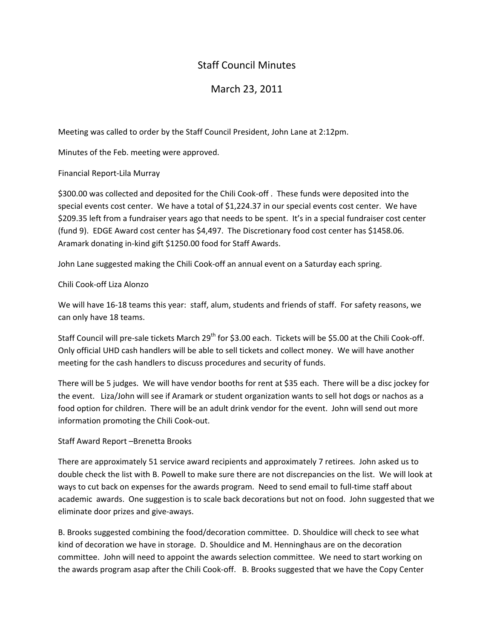## Staff Council Minutes

## March 23, 2011

Meeting was called to order by the Staff Council President, John Lane at 2:12pm.

Minutes of the Feb. meeting were approved.

Financial Report‐Lila Murray

\$300.00 was collected and deposited for the Chili Cook‐off . These funds were deposited into the special events cost center. We have a total of \$1,224.37 in our special events cost center. We have \$209.35 left from a fundraiser years ago that needs to be spent. It's in a special fundraiser cost center (fund 9). EDGE Award cost center has \$4,497. The Discretionary food cost center has \$1458.06. Aramark donating in‐kind gift \$1250.00 food for Staff Awards.

John Lane suggested making the Chili Cook‐off an annual event on a Saturday each spring.

Chili Cook‐off Liza Alonzo

We will have 16-18 teams this year: staff, alum, students and friends of staff. For safety reasons, we can only have 18 teams.

Staff Council will pre-sale tickets March 29<sup>th</sup> for \$3.00 each. Tickets will be \$5.00 at the Chili Cook-off. Only official UHD cash handlers will be able to sell tickets and collect money. We will have another meeting for the cash handlers to discuss procedures and security of funds.

There will be 5 judges. We will have vendor booths for rent at \$35 each. There will be a disc jockey for the event. Liza/John will see if Aramark or student organization wants to sell hot dogs or nachos as a food option for children. There will be an adult drink vendor for the event. John will send out more information promoting the Chili Cook‐out.

## Staff Award Report –Brenetta Brooks

There are approximately 51 service award recipients and approximately 7 retirees. John asked us to double check the list with B. Powell to make sure there are not discrepancies on the list. We will look at ways to cut back on expenses for the awards program. Need to send email to full‐time staff about academic awards. One suggestion is to scale back decorations but not on food. John suggested that we eliminate door prizes and give‐aways.

B. Brooks suggested combining the food/decoration committee. D. Shouldice will check to see what kind of decoration we have in storage. D. Shouldice and M. Henninghaus are on the decoration committee. John will need to appoint the awards selection committee. We need to start working on the awards program asap after the Chili Cook‐off. B. Brooks suggested that we have the Copy Center